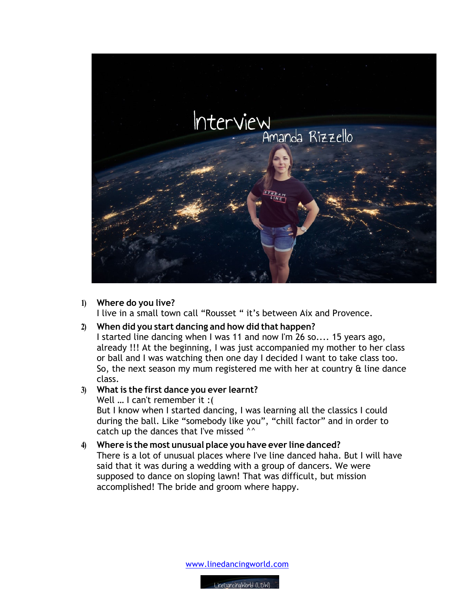

**1) Where do you live?**

I live in a small town call "Rousset " it's between Aix and Provence.

## **2) When did you start dancing and how did that happen?**

I started line dancing when I was 11 and now I'm 26 so.... 15 years ago, already !!! At the beginning, I was just accompanied my mother to her class or ball and I was watching then one day I decided I want to take class too. So, the next season my mum registered me with her at country  $\alpha$  line dance class.

## **3) What is the first dance you ever learnt?**

Well … I can't remember it :( But I know when I started dancing, I was learning all the classics I could during the ball. Like "somebody like you", "chill factor" and in order to catch up the dances that I've missed ^^

## **4) Where is the most unusual place you have ever line danced?**

There is a lot of unusual places where I've line danced haha. But I will have said that it was during a wedding with a group of dancers. We were supposed to dance on sloping lawn! That was difficult, but mission accomplished! The bride and groom where happy.

www.linedancingworld.com

LineDancingWorld (LDW)